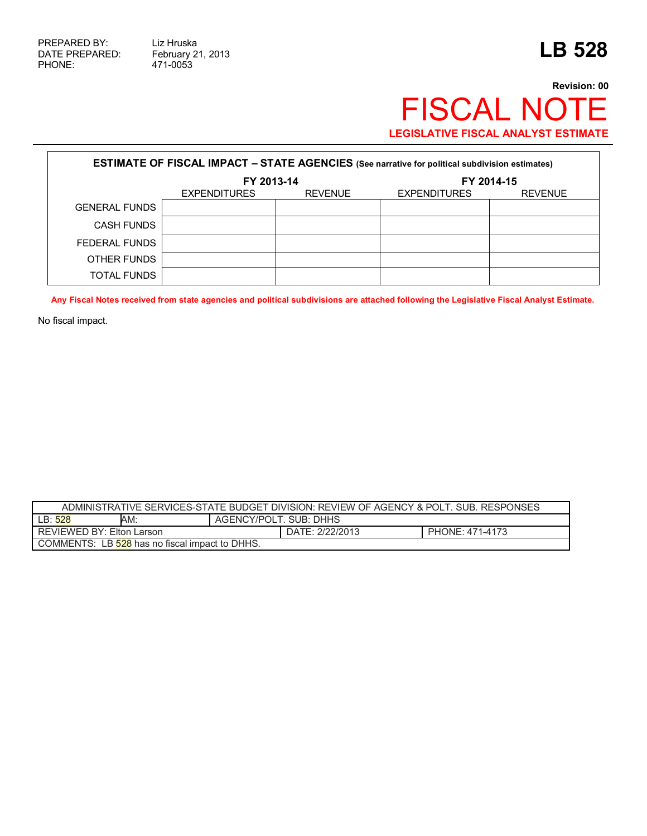471-0053

## **Revision: 00** FISCAL NOTE **LEGISLATIVE FISCAL ANALYST ESTIMATE**

| <b>ESTIMATE OF FISCAL IMPACT - STATE AGENCIES</b> (See narrative for political subdivision estimates) |                     |                |                     |                |  |
|-------------------------------------------------------------------------------------------------------|---------------------|----------------|---------------------|----------------|--|
|                                                                                                       | FY 2013-14          |                | FY 2014-15          |                |  |
|                                                                                                       | <b>EXPENDITURES</b> | <b>REVENUE</b> | <b>EXPENDITURES</b> | <b>REVENUE</b> |  |
| <b>GENERAL FUNDS</b>                                                                                  |                     |                |                     |                |  |
| <b>CASH FUNDS</b>                                                                                     |                     |                |                     |                |  |
| FEDERAL FUNDS                                                                                         |                     |                |                     |                |  |
| OTHER FUNDS                                                                                           |                     |                |                     |                |  |
| TOTAL FUNDS                                                                                           |                     |                |                     |                |  |

**Any Fiscal Notes received from state agencies and political subdivisions are attached following the Legislative Fiscal Analyst Estimate.** 

No fiscal impact.

| ADMINISTRATIVE SERVICES-STATE BUDGET DIVISION: REVIEW OF AGENCY & POLT. SUB. RESPONSES |     |                 |                        |  |  |
|----------------------------------------------------------------------------------------|-----|-----------------|------------------------|--|--|
| LB: 528                                                                                | AM: |                 | AGENCY/POLT, SUB: DHHS |  |  |
| REVIEWED BY: Elton Larson                                                              |     | DATE: 2/22/2013 | PHONE: 471-4173        |  |  |
| COMMENTS: LB 528 has no fiscal impact to DHHS.                                         |     |                 |                        |  |  |